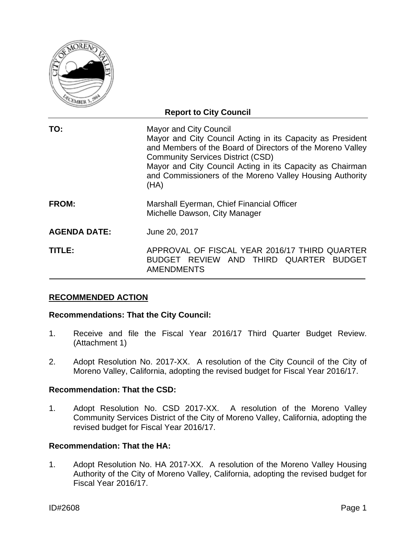

|                     | <b>Report to City Council</b>                                                                                                                                                                                                                                                                                                          |
|---------------------|----------------------------------------------------------------------------------------------------------------------------------------------------------------------------------------------------------------------------------------------------------------------------------------------------------------------------------------|
| TO:                 | <b>Mayor and City Council</b><br>Mayor and City Council Acting in its Capacity as President<br>and Members of the Board of Directors of the Moreno Valley<br><b>Community Services District (CSD)</b><br>Mayor and City Council Acting in its Capacity as Chairman<br>and Commissioners of the Moreno Valley Housing Authority<br>(HA) |
| <b>FROM:</b>        | Marshall Eyerman, Chief Financial Officer<br>Michelle Dawson, City Manager                                                                                                                                                                                                                                                             |
| <b>AGENDA DATE:</b> | June 20, 2017                                                                                                                                                                                                                                                                                                                          |
| TITLE:              | APPROVAL OF FISCAL YEAR 2016/17 THIRD QUARTER<br>BUDGET REVIEW AND THIRD QUARTER BUDGET<br><b>AMENDMENTS</b>                                                                                                                                                                                                                           |

## **RECOMMENDED ACTION**

#### **Recommendations: That the City Council:**

- 1. Receive and file the Fiscal Year 2016/17 Third Quarter Budget Review. (Attachment 1)
- 2. Adopt Resolution No. 2017-XX. A resolution of the City Council of the City of Moreno Valley, California, adopting the revised budget for Fiscal Year 2016/17.

## **Recommendation: That the CSD:**

1. Adopt Resolution No. CSD 2017-XX. A resolution of the Moreno Valley Community Services District of the City of Moreno Valley, California, adopting the revised budget for Fiscal Year 2016/17.

#### **Recommendation: That the HA:**

1. Adopt Resolution No. HA 2017-XX. A resolution of the Moreno Valley Housing Authority of the City of Moreno Valley, California, adopting the revised budget for Fiscal Year 2016/17.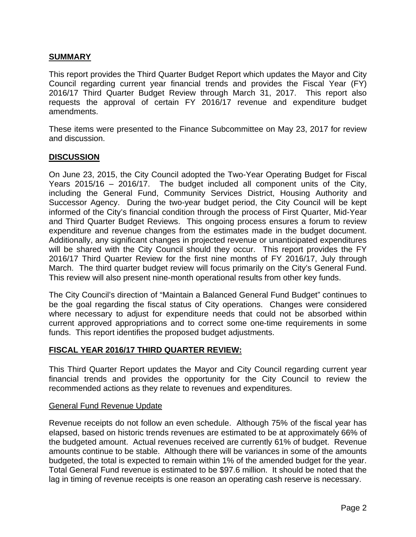## **SUMMARY**

This report provides the Third Quarter Budget Report which updates the Mayor and City Council regarding current year financial trends and provides the Fiscal Year (FY) 2016/17 Third Quarter Budget Review through March 31, 2017. This report also requests the approval of certain FY 2016/17 revenue and expenditure budget amendments.

These items were presented to the Finance Subcommittee on May 23, 2017 for review and discussion.

#### **DISCUSSION**

On June 23, 2015, the City Council adopted the Two-Year Operating Budget for Fiscal Years 2015/16 – 2016/17. The budget included all component units of the City, including the General Fund, Community Services District, Housing Authority and Successor Agency. During the two-year budget period, the City Council will be kept informed of the City's financial condition through the process of First Quarter, Mid-Year and Third Quarter Budget Reviews. This ongoing process ensures a forum to review expenditure and revenue changes from the estimates made in the budget document. Additionally, any significant changes in projected revenue or unanticipated expenditures will be shared with the City Council should they occur. This report provides the FY 2016/17 Third Quarter Review for the first nine months of FY 2016/17, July through March. The third quarter budget review will focus primarily on the City's General Fund. This review will also present nine-month operational results from other key funds.

The City Council's direction of "Maintain a Balanced General Fund Budget" continues to be the goal regarding the fiscal status of City operations. Changes were considered where necessary to adjust for expenditure needs that could not be absorbed within current approved appropriations and to correct some one-time requirements in some funds. This report identifies the proposed budget adjustments.

## **FISCAL YEAR 2016/17 THIRD QUARTER REVIEW:**

This Third Quarter Report updates the Mayor and City Council regarding current year financial trends and provides the opportunity for the City Council to review the recommended actions as they relate to revenues and expenditures.

#### General Fund Revenue Update

Revenue receipts do not follow an even schedule. Although 75% of the fiscal year has elapsed, based on historic trends revenues are estimated to be at approximately 66% of the budgeted amount. Actual revenues received are currently 61% of budget. Revenue amounts continue to be stable. Although there will be variances in some of the amounts budgeted, the total is expected to remain within 1% of the amended budget for the year. Total General Fund revenue is estimated to be \$97.6 million. It should be noted that the lag in timing of revenue receipts is one reason an operating cash reserve is necessary.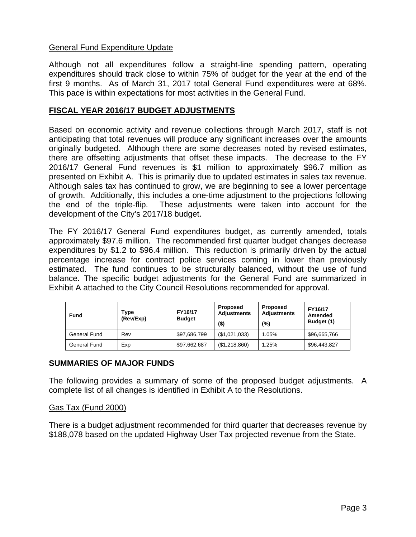## General Fund Expenditure Update

Although not all expenditures follow a straight-line spending pattern, operating expenditures should track close to within 75% of budget for the year at the end of the first 9 months. As of March 31, 2017 total General Fund expenditures were at 68%. This pace is within expectations for most activities in the General Fund.

## **FISCAL YEAR 2016/17 BUDGET ADJUSTMENTS**

Based on economic activity and revenue collections through March 2017, staff is not anticipating that total revenues will produce any significant increases over the amounts originally budgeted. Although there are some decreases noted by revised estimates, there are offsetting adjustments that offset these impacts. The decrease to the FY 2016/17 General Fund revenues is \$1 million to approximately \$96.7 million as presented on Exhibit A. This is primarily due to updated estimates in sales tax revenue. Although sales tax has continued to grow, we are beginning to see a lower percentage of growth. Additionally, this includes a one-time adjustment to the projections following the end of the triple-flip. These adjustments were taken into account for the development of the City's 2017/18 budget.

The FY 2016/17 General Fund expenditures budget, as currently amended, totals approximately \$97.6 million. The recommended first quarter budget changes decrease expenditures by \$1.2 to \$96.4 million. This reduction is primarily driven by the actual percentage increase for contract police services coming in lower than previously estimated. The fund continues to be structurally balanced, without the use of fund balance. The specific budget adjustments for the General Fund are summarized in Exhibit A attached to the City Council Resolutions recommended for approval.

| <b>Fund</b>  | Type<br>(Rev/Exp) | FY16/17<br><b>Budget</b> | Proposed<br><b>Adjustments</b><br>(\$) | <b>Proposed</b><br><b>Adjustments</b><br>(%) | FY16/17<br>Amended<br>Budget (1) |
|--------------|-------------------|--------------------------|----------------------------------------|----------------------------------------------|----------------------------------|
| General Fund | Rev               | \$97,686,799             | (\$1,021,033)                          | 1.05%                                        | \$96,665,766                     |
| General Fund | Exp               | \$97,662,687             | (\$1,218,860)                          | 1.25%                                        | \$96,443,827                     |

## **SUMMARIES OF MAJOR FUNDS**

The following provides a summary of some of the proposed budget adjustments. A complete list of all changes is identified in Exhibit A to the Resolutions.

## Gas Tax (Fund 2000)

There is a budget adjustment recommended for third quarter that decreases revenue by \$188,078 based on the updated Highway User Tax projected revenue from the State.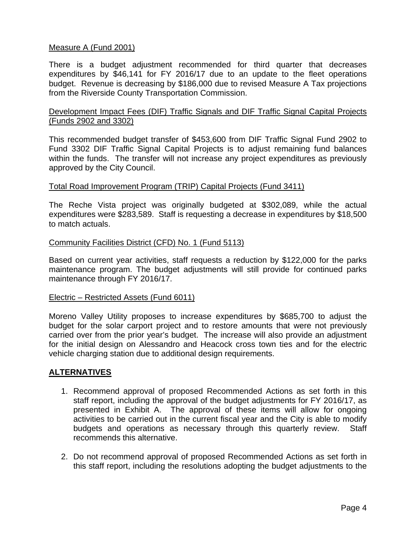## Measure A (Fund 2001)

There is a budget adjustment recommended for third quarter that decreases expenditures by \$46,141 for FY 2016/17 due to an update to the fleet operations budget. Revenue is decreasing by \$186,000 due to revised Measure A Tax projections from the Riverside County Transportation Commission.

## Development Impact Fees (DIF) Traffic Signals and DIF Traffic Signal Capital Projects (Funds 2902 and 3302)

This recommended budget transfer of \$453,600 from DIF Traffic Signal Fund 2902 to Fund 3302 DIF Traffic Signal Capital Projects is to adjust remaining fund balances within the funds. The transfer will not increase any project expenditures as previously approved by the City Council.

## Total Road Improvement Program (TRIP) Capital Projects (Fund 3411)

The Reche Vista project was originally budgeted at \$302,089, while the actual expenditures were \$283,589. Staff is requesting a decrease in expenditures by \$18,500 to match actuals.

## Community Facilities District (CFD) No. 1 (Fund 5113)

Based on current year activities, staff requests a reduction by \$122,000 for the parks maintenance program. The budget adjustments will still provide for continued parks maintenance through FY 2016/17.

#### Electric – Restricted Assets (Fund 6011)

Moreno Valley Utility proposes to increase expenditures by \$685,700 to adjust the budget for the solar carport project and to restore amounts that were not previously carried over from the prior year's budget. The increase will also provide an adjustment for the initial design on Alessandro and Heacock cross town ties and for the electric vehicle charging station due to additional design requirements.

#### **ALTERNATIVES**

- 1. Recommend approval of proposed Recommended Actions as set forth in this staff report, including the approval of the budget adjustments for FY 2016/17, as presented in Exhibit A. The approval of these items will allow for ongoing activities to be carried out in the current fiscal year and the City is able to modify budgets and operations as necessary through this quarterly review. Staff recommends this alternative.
- 2. Do not recommend approval of proposed Recommended Actions as set forth in this staff report, including the resolutions adopting the budget adjustments to the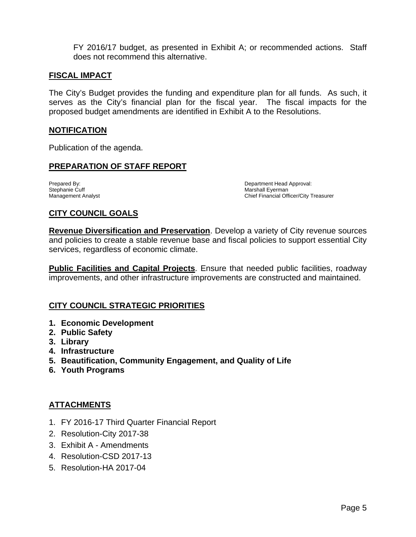FY 2016/17 budget, as presented in Exhibit A; or recommended actions. Staff does not recommend this alternative.

## **FISCAL IMPACT**

The City's Budget provides the funding and expenditure plan for all funds. As such, it serves as the City's financial plan for the fiscal year. The fiscal impacts for the proposed budget amendments are identified in Exhibit A to the Resolutions.

#### **NOTIFICATION**

Publication of the agenda.

## **PREPARATION OF STAFF REPORT**

Stephanie Cuff and the Current of the Current Analyst Control of the Marshall Eyerman Marshall Eyerman Marshall Eyerman Marshall Eyerman Marshall Eyerman Marshall Eyerman Marshall Officer Control of the Marshall Officer Co

Prepared By: Department Head Approval: Chief Financial Officer/City Treasurer

## **CITY COUNCIL GOALS**

**Revenue Diversification and Preservation**. Develop a variety of City revenue sources and policies to create a stable revenue base and fiscal policies to support essential City services, regardless of economic climate.

**Public Facilities and Capital Projects**. Ensure that needed public facilities, roadway improvements, and other infrastructure improvements are constructed and maintained.

## **CITY COUNCIL STRATEGIC PRIORITIES**

- **1. Economic Development**
- **2. Public Safety**
- **3. Library**
- **4. Infrastructure**
- **5. Beautification, Community Engagement, and Quality of Life**
- **6. Youth Programs**

## **ATTACHMENTS**

- 1. FY 2016-17 Third Quarter Financial Report
- 2. Resolution-City 2017-38
- 3. Exhibit A Amendments
- 4. Resolution-CSD 2017-13
- 5. Resolution-HA 2017-04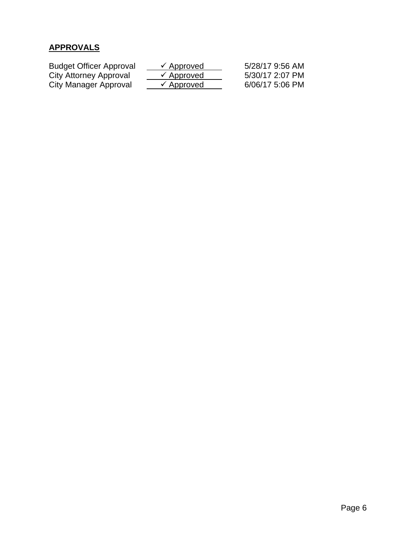## **APPROVALS**

| <b>Budget Officer Approval</b> | $\checkmark$ Approved | 5/28/17 9:56 AM |
|--------------------------------|-----------------------|-----------------|
| City Attorney Approval         | $\checkmark$ Approved | 5/30/17 2:07 PM |
| City Manager Approval          | $\checkmark$ Approved | 6/06/17 5:06 PM |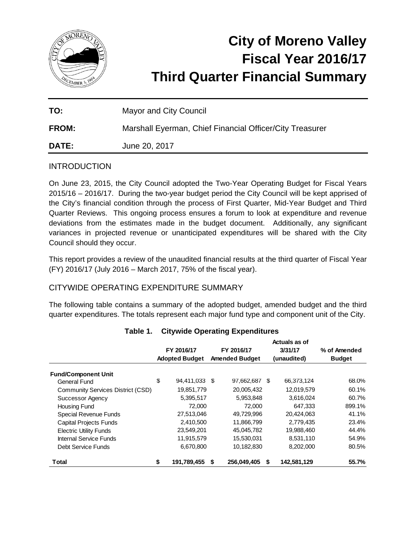

# **City of Moreno Valley Fiscal Year 2016/17 Third Quarter Financial Summary**

| TO:          | <b>Mayor and City Council</b>                            |
|--------------|----------------------------------------------------------|
| <b>FROM:</b> | Marshall Eyerman, Chief Financial Officer/City Treasurer |
| <b>DATE:</b> | June 20, 2017                                            |

## **INTRODUCTION**

On June 23, 2015, the City Council adopted the Two-Year Operating Budget for Fiscal Years 2015/16 – 2016/17. During the two-year budget period the City Council will be kept apprised of the City's financial condition through the process of First Quarter, Mid-Year Budget and Third Quarter Reviews. This ongoing process ensures a forum to look at expenditure and revenue deviations from the estimates made in the budget document. Additionally, any significant variances in projected revenue or unanticipated expenditures will be shared with the City Council should they occur.

This report provides a review of the unaudited financial results at the third quarter of Fiscal Year (FY) 2016/17 (July 2016 – March 2017, 75% of the fiscal year).

## CITYWIDE OPERATING EXPENDITURE SUMMARY

The following table contains a summary of the adopted budget, amended budget and the third quarter expenditures. The totals represent each major fund type and component unit of the City.

|                                            |                       | FY 2016/17    |                       | FY 2016/17  |   | Actuals as of<br>3/31/17 | % of Amended  |
|--------------------------------------------|-----------------------|---------------|-----------------------|-------------|---|--------------------------|---------------|
|                                            | <b>Adopted Budget</b> |               | <b>Amended Budget</b> |             |   | (unaudited)              | <b>Budget</b> |
|                                            |                       |               |                       |             |   |                          |               |
| <b>Fund/Component Unit</b><br>General Fund | \$                    | 94,411,033 \$ |                       | 97,662,687  | S | 66,373,124               | 68.0%         |
| Community Services District (CSD)          |                       | 19,851,779    |                       | 20.005.432  |   | 12,019,579               | 60.1%         |
| Successor Agency                           |                       | 5,395,517     |                       | 5,953,848   |   | 3,616,024                | 60.7%         |
| Housing Fund                               |                       | 72,000        |                       | 72,000      |   | 647,333                  | 899.1%        |
| Special Revenue Funds                      |                       | 27,513,046    |                       | 49,729,996  |   | 20,424,063               | 41.1%         |
| <b>Capital Projects Funds</b>              |                       | 2,410,500     |                       | 11,866,799  |   | 2,779,435                | 23.4%         |
| <b>Electric Utility Funds</b>              |                       | 23.549.201    |                       | 45,045,782  |   | 19,988,460               | 44.4%         |
| Internal Service Funds                     |                       | 11,915,579    |                       | 15,530,031  |   | 8,531,110                | 54.9%         |
| Debt Service Funds                         |                       | 6,670,800     |                       | 10,182,830  |   | 8,202,000                | 80.5%         |
| Total                                      | \$                    | 191,789,455   | S                     | 256.049.405 | S | 142,581,129              | 55.7%         |

#### **Table 1. Citywide Operating Expenditures**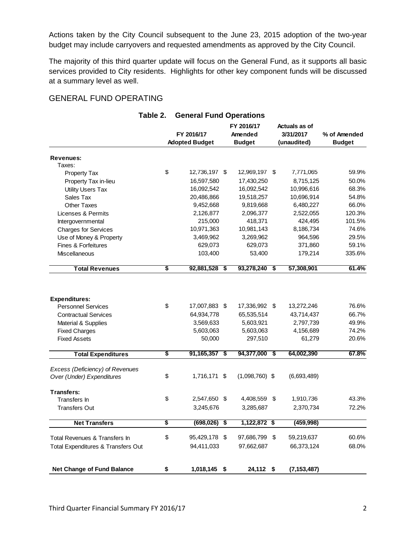Actions taken by the City Council subsequent to the June 23, 2015 adoption of the two-year budget may include carryovers and requested amendments as approved by the City Council.

The majority of this third quarter update will focus on the General Fund, as it supports all basic services provided to City residents. Highlights for other key component funds will be discussed at a summary level as well.

## GENERAL FUND OPERATING

|                                    | <b>OCTIGRAL LATIN OPGRETIONS</b> |                       |                                   |               |  |  |
|------------------------------------|----------------------------------|-----------------------|-----------------------------------|---------------|--|--|
|                                    | FY 2016/17                       | FY 2016/17<br>Amended | <b>Actuals as of</b><br>3/31/2017 | % of Amended  |  |  |
|                                    | <b>Adopted Budget</b>            | <b>Budget</b>         | (unaudited)                       | <b>Budget</b> |  |  |
| Revenues:                          |                                  |                       |                                   |               |  |  |
| Taxes:                             |                                  |                       |                                   |               |  |  |
| <b>Property Tax</b>                | \$<br>12,736,197 \$              | 12,969,197 \$         | 7,771,065                         | 59.9%         |  |  |
| Property Tax in-lieu               | 16,597,580                       | 17,430,250            | 8,715,125                         | 50.0%         |  |  |
| <b>Utility Users Tax</b>           | 16,092,542                       | 16,092,542            | 10,996,616                        | 68.3%         |  |  |
| Sales Tax                          | 20,486,866                       | 19,518,257            | 10,696,914                        | 54.8%         |  |  |
| Other Taxes                        | 9,452,668                        | 9,819,668             | 6,480,227                         | 66.0%         |  |  |
| Licenses & Permits                 | 2,126,877                        | 2,096,377             | 2,522,055                         | 120.3%        |  |  |
| Intergovernmental                  | 215,000                          | 418,371               | 424,495                           | 101.5%        |  |  |
| <b>Charges for Services</b>        | 10,971,363                       | 10,981,143            | 8,186,734                         | 74.6%         |  |  |
| Use of Money & Property            | 3,469,962                        | 3,269,962             | 964,596                           | 29.5%         |  |  |
| <b>Fines &amp; Forfeitures</b>     | 629,073                          | 629,073               | 371,860                           | 59.1%         |  |  |
| Miscellaneous                      | 103,400                          | 53,400                | 179,214                           | 335.6%        |  |  |
| <b>Total Revenues</b>              | \$<br>92,881,528                 | \$<br>93,278,240      | \$<br>57,308,901                  | 61.4%         |  |  |
|                                    |                                  |                       |                                   |               |  |  |
| <b>Expenditures:</b>               |                                  |                       |                                   |               |  |  |
| <b>Personnel Services</b>          | \$<br>17,007,883 \$              | 17,336,992 \$         | 13,272,246                        | 76.6%         |  |  |
| <b>Contractual Services</b>        | 64,934,778                       | 65,535,514            | 43,714,437                        | 66.7%         |  |  |
| Material & Supplies                | 3,569,633                        | 5,603,921             | 2,797,739                         | 49.9%         |  |  |
| <b>Fixed Charges</b>               | 5,603,063                        | 5,603,063             | 4,156,689                         | 74.2%         |  |  |
| <b>Fixed Assets</b>                | 50,000                           | 297,510               | 61,279                            | 20.6%         |  |  |
| <b>Total Expenditures</b>          | \$<br>91,165,357                 | \$<br>94,377,000      | \$<br>64,002,390                  | 67.8%         |  |  |
| Excess (Deficiency) of Revenues    |                                  |                       |                                   |               |  |  |
| Over (Under) Expenditures          | \$<br>1,716,171 \$               | $(1,098,760)$ \$      | (6,693,489)                       |               |  |  |
| <b>Transfers:</b>                  |                                  |                       |                                   |               |  |  |
| Transfers In                       | \$<br>2,547,650 \$               | 4,408,559 \$          | 1,910,736                         | 43.3%         |  |  |
| <b>Transfers Out</b>               | 3,245,676                        | 3,285,687             | 2,370,734                         | 72.2%         |  |  |
| <b>Net Transfers</b>               | \$<br>$(698, 026)$ \$            | 1,122,872 \$          | (459, 998)                        |               |  |  |
| Total Revenues & Transfers In      | \$<br>95,429,178 \$              | 97,686,799 \$         | 59,219,637                        | 60.6%         |  |  |
| Total Expenditures & Transfers Out | 94,411,033                       | 97,662,687            | 66,373,124                        | 68.0%         |  |  |
| <b>Net Change of Fund Balance</b>  | 1,018,145 \$                     | 24,112 \$             | (7, 153, 487)                     |               |  |  |
|                                    | \$                               |                       |                                   |               |  |  |

## **Table 2. General Fund Operations**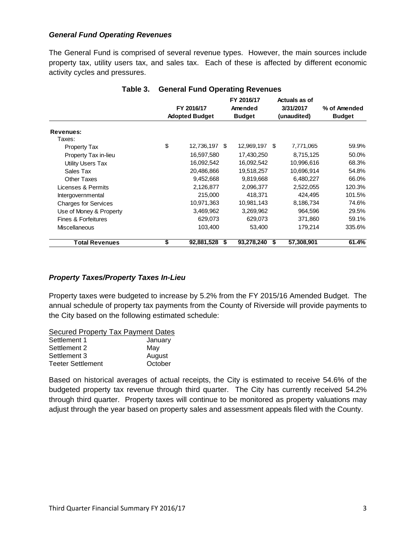#### *General Fund Operating Revenues*

The General Fund is comprised of several revenue types. However, the main sources include property tax, utility users tax, and sales tax. Each of these is affected by different economic activity cycles and pressures.

|                             |                                     |    | o                                      |                                           |            |                               |
|-----------------------------|-------------------------------------|----|----------------------------------------|-------------------------------------------|------------|-------------------------------|
|                             | FY 2016/17<br><b>Adopted Budget</b> |    | FY 2016/17<br>Amended<br><b>Budget</b> | Actuals as of<br>3/31/2017<br>(unaudited) |            | % of Amended<br><b>Budget</b> |
| Revenues:                   |                                     |    |                                        |                                           |            |                               |
| Taxes:                      |                                     |    |                                        |                                           |            |                               |
| <b>Property Tax</b>         | \$<br>12,736,197                    | -S | 12,969,197                             | S                                         | 7,771,065  | 59.9%                         |
| Property Tax in-lieu        | 16,597,580                          |    | 17,430,250                             |                                           | 8,715,125  | 50.0%                         |
| <b>Utility Users Tax</b>    | 16,092,542                          |    | 16,092,542                             |                                           | 10,996,616 | 68.3%                         |
| Sales Tax                   | 20,486,866                          |    | 19,518,257                             |                                           | 10,696,914 | 54.8%                         |
| Other Taxes                 | 9,452,668                           |    | 9,819,668                              |                                           | 6,480,227  | 66.0%                         |
| Licenses & Permits          | 2,126,877                           |    | 2,096,377                              |                                           | 2,522,055  | 120.3%                        |
| Intergovernmental           | 215,000                             |    | 418,371                                |                                           | 424.495    | 101.5%                        |
| <b>Charges for Services</b> | 10,971,363                          |    | 10,981,143                             |                                           | 8,186,734  | 74.6%                         |
| Use of Money & Property     | 3,469,962                           |    | 3,269,962                              |                                           | 964,596    | 29.5%                         |
| Fines & Forfeitures         | 629,073                             |    | 629,073                                |                                           | 371,860    | 59.1%                         |
| <b>Miscellaneous</b>        | 103,400                             |    | 53,400                                 |                                           | 179,214    | 335.6%                        |
| <b>Total Revenues</b>       | \$<br>92,881,528                    | \$ | 93,278,240                             | S                                         | 57,308,901 | 61.4%                         |

## **Table 3. General Fund Operating Revenues**

#### *Property Taxes/Property Taxes In-Lieu*

Property taxes were budgeted to increase by 5.2% from the FY 2015/16 Amended Budget. The annual schedule of property tax payments from the County of Riverside will provide payments to the City based on the following estimated schedule:

| <b>Secured Property Tax Payment Dates</b> |         |
|-------------------------------------------|---------|
| Settlement 1                              | January |
| Settlement 2                              | May     |
| Settlement 3                              | August  |
| <b>Teeter Settlement</b>                  | October |

Based on historical averages of actual receipts, the City is estimated to receive 54.6% of the budgeted property tax revenue through third quarter. The City has currently received 54.2% through third quarter. Property taxes will continue to be monitored as property valuations may adjust through the year based on property sales and assessment appeals filed with the County.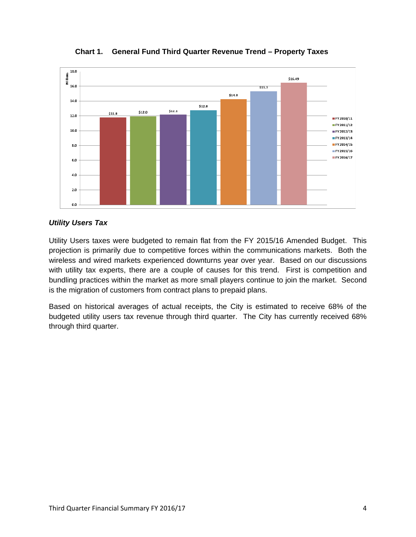

**Chart 1. General Fund Third Quarter Revenue Trend – Property Taxes** 

#### *Utility Users Tax*

Utility Users taxes were budgeted to remain flat from the FY 2015/16 Amended Budget. This projection is primarily due to competitive forces within the communications markets. Both the wireless and wired markets experienced downturns year over year. Based on our discussions with utility tax experts, there are a couple of causes for this trend. First is competition and bundling practices within the market as more small players continue to join the market. Second is the migration of customers from contract plans to prepaid plans.

Based on historical averages of actual receipts, the City is estimated to receive 68% of the budgeted utility users tax revenue through third quarter. The City has currently received 68% through third quarter.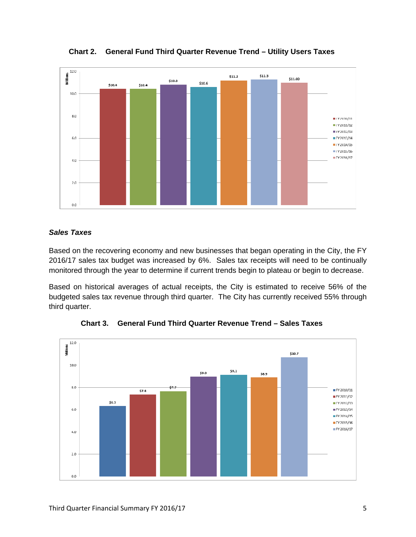

**Chart 2. General Fund Third Quarter Revenue Trend – Utility Users Taxes** 

## *Sales Taxes*

Based on the recovering economy and new businesses that began operating in the City, the FY 2016/17 sales tax budget was increased by 6%. Sales tax receipts will need to be continually monitored through the year to determine if current trends begin to plateau or begin to decrease.

Based on historical averages of actual receipts, the City is estimated to receive 56% of the budgeted sales tax revenue through third quarter. The City has currently received 55% through third quarter.



**Chart 3. General Fund Third Quarter Revenue Trend – Sales Taxes**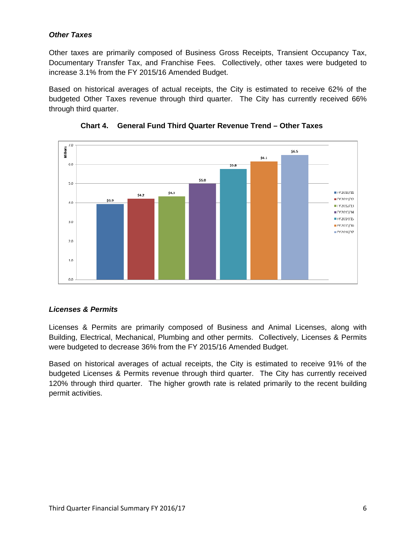## *Other Taxes*

Other taxes are primarily composed of Business Gross Receipts, Transient Occupancy Tax, Documentary Transfer Tax, and Franchise Fees. Collectively, other taxes were budgeted to increase 3.1% from the FY 2015/16 Amended Budget.

Based on historical averages of actual receipts, the City is estimated to receive 62% of the budgeted Other Taxes revenue through third quarter. The City has currently received 66% through third quarter.





## *Licenses & Permits*

Licenses & Permits are primarily composed of Business and Animal Licenses, along with Building, Electrical, Mechanical, Plumbing and other permits. Collectively, Licenses & Permits were budgeted to decrease 36% from the FY 2015/16 Amended Budget.

Based on historical averages of actual receipts, the City is estimated to receive 91% of the budgeted Licenses & Permits revenue through third quarter. The City has currently received 120% through third quarter. The higher growth rate is related primarily to the recent building permit activities.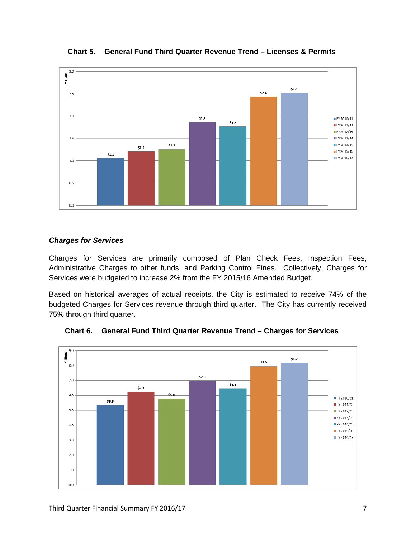

**Chart 5. General Fund Third Quarter Revenue Trend – Licenses & Permits** 

#### *Charges for Services*

Charges for Services are primarily composed of Plan Check Fees, Inspection Fees, Administrative Charges to other funds, and Parking Control Fines. Collectively, Charges for Services were budgeted to increase 2% from the FY 2015/16 Amended Budget.

Based on historical averages of actual receipts, the City is estimated to receive 74% of the budgeted Charges for Services revenue through third quarter. The City has currently received 75% through third quarter.



**Chart 6. General Fund Third Quarter Revenue Trend – Charges for Services**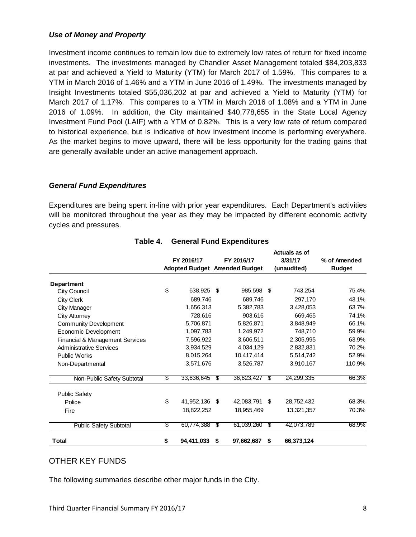## *Use of Money and Property*

Investment income continues to remain low due to extremely low rates of return for fixed income investments. The investments managed by Chandler Asset Management totaled \$84,203,833 at par and achieved a Yield to Maturity (YTM) for March 2017 of 1.59%. This compares to a YTM in March 2016 of 1.46% and a YTM in June 2016 of 1.49%. The investments managed by Insight Investments totaled \$55,036,202 at par and achieved a Yield to Maturity (YTM) for March 2017 of 1.17%. This compares to a YTM in March 2016 of 1.08% and a YTM in June 2016 of 1.09%. In addition, the City maintained \$40,778,655 in the State Local Agency Investment Fund Pool (LAIF) with a YTM of 0.82%. This is a very low rate of return compared to historical experience, but is indicative of how investment income is performing everywhere. As the market begins to move upward, there will be less opportunity for the trading gains that are generally available under an active management approach.

## *General Fund Expenditures*

Expenditures are being spent in-line with prior year expenditures. Each Department's activities will be monitored throughout the year as they may be impacted by different economic activity cycles and pressures.

|                                            |    |            |      |                                      |    | Actuals as of |               |  |
|--------------------------------------------|----|------------|------|--------------------------------------|----|---------------|---------------|--|
|                                            |    | FY 2016/17 |      | FY 2016/17                           |    | 3/31/17       | % of Amended  |  |
|                                            |    |            |      | <b>Adopted Budget Amended Budget</b> |    | (unaudited)   | <b>Budget</b> |  |
| <b>Department</b>                          |    |            |      |                                      |    |               |               |  |
| City Council                               | \$ | 638,925    | - 5  | 985,598 \$                           |    | 743,254       | 75.4%         |  |
| <b>City Clerk</b>                          |    | 689,746    |      | 689,746                              |    | 297,170       | 43.1%         |  |
| City Manager                               |    | 1,656,313  |      | 5,382,783                            |    | 3,428,053     | 63.7%         |  |
| <b>City Attorney</b>                       |    | 728,616    |      | 903,616                              |    | 669,465       | 74.1%         |  |
| <b>Community Development</b>               |    | 5,706,871  |      | 5,826,871                            |    | 3,848,949     | 66.1%         |  |
| Economic Development                       |    | 1,097,783  |      | 1,249,972                            |    | 748,710       | 59.9%         |  |
| <b>Financial &amp; Management Services</b> |    | 7,596,922  |      | 3,606,511                            |    | 2,305,995     | 63.9%         |  |
| <b>Administrative Services</b>             |    | 3,934,529  |      | 4,034,129                            |    | 2,832,831     | 70.2%         |  |
| <b>Public Works</b>                        |    | 8,015,264  |      | 10,417,414                           |    | 5,514,742     | 52.9%         |  |
| Non-Departmental                           |    | 3,571,676  |      | 3,526,787                            |    | 3,910,167     | 110.9%        |  |
| Non-Public Safety Subtotal                 | \$ | 33,636,645 | - \$ | 36,623,427                           | S  | 24,299,335    | 66.3%         |  |
| <b>Public Safety</b>                       |    |            |      |                                      |    |               |               |  |
| Police                                     | \$ | 41,952,136 | \$   | 42,083,791                           | \$ | 28,752,432    | 68.3%         |  |
| Fire                                       |    | 18,822,252 |      | 18,955,469                           |    | 13,321,357    | 70.3%         |  |
| <b>Public Safety Subtotal</b>              | \$ | 60,774,388 | S    | 61,039,260                           | S  | 42,073,789    | 68.9%         |  |
| <b>Total</b>                               | \$ | 94,411,033 | \$   | 97,662,687                           | \$ | 66,373,124    |               |  |

## **Table 4. General Fund Expenditures**

## OTHER KEY FUNDS

The following summaries describe other major funds in the City.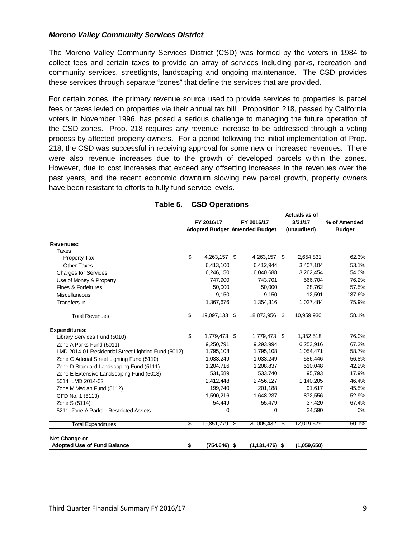#### *Moreno Valley Community Services District*

The Moreno Valley Community Services District (CSD) was formed by the voters in 1984 to collect fees and certain taxes to provide an array of services including parks, recreation and community services, streetlights, landscaping and ongoing maintenance. The CSD provides these services through separate "zones" that define the services that are provided.

For certain zones, the primary revenue source used to provide services to properties is parcel fees or taxes levied on properties via their annual tax bill. Proposition 218, passed by California voters in November 1996, has posed a serious challenge to managing the future operation of the CSD zones. Prop. 218 requires any revenue increase to be addressed through a voting process by affected property owners. For a period following the initial implementation of Prop. 218, the CSD was successful in receiving approval for some new or increased revenues. There were also revenue increases due to the growth of developed parcels within the zones. However, due to cost increases that exceed any offsetting increases in the revenues over the past years, and the recent economic downturn slowing new parcel growth, property owners have been resistant to efforts to fully fund service levels.

|                                                     |    |                 |     |                                      |      | Actuals as of |               |
|-----------------------------------------------------|----|-----------------|-----|--------------------------------------|------|---------------|---------------|
|                                                     |    | FY 2016/17      |     | FY 2016/17                           |      | 3/31/17       | % of Amended  |
|                                                     |    |                 |     | <b>Adopted Budget Amended Budget</b> |      | (unaudited)   | <b>Budget</b> |
| <b>Revenues:</b>                                    |    |                 |     |                                      |      |               |               |
| Taxes:                                              |    |                 |     |                                      |      |               |               |
| <b>Property Tax</b>                                 | \$ | 4,263,157 \$    |     | 4,263,157                            | - \$ | 2,654,831     | 62.3%         |
| Other Taxes                                         |    | 6,413,100       |     | 6,412,944                            |      | 3,407,104     | 53.1%         |
| <b>Charges for Services</b>                         |    | 6,246,150       |     | 6,040,688                            |      | 3,262,454     | 54.0%         |
| Use of Money & Property                             |    | 747.900         |     | 743,701                              |      | 566.704       | 76.2%         |
| Fines & Forfeitures                                 |    | 50,000          |     | 50,000                               |      | 28,762        | 57.5%         |
| <b>Miscellaneous</b>                                |    | 9,150           |     | 9,150                                |      | 12,591        | 137.6%        |
| Transfers In                                        |    | 1,367,676       |     | 1,354,316                            |      | 1,027,484     | 75.9%         |
| <b>Total Revenues</b>                               | S  | 19,097,133 \$   |     | 18,873,956                           | S    | 10,959,930    | 58.1%         |
| <b>Expenditures:</b>                                |    |                 |     |                                      |      |               |               |
| Library Services Fund (5010)                        | \$ | 1,779,473 \$    |     | 1,779,473 \$                         |      | 1,352,518     | 76.0%         |
| Zone A Parks Fund (5011)                            |    | 9,250,791       |     | 9,293,994                            |      | 6,253,916     | 67.3%         |
| LMD 2014-01 Residential Street Lighting Fund (5012) |    | 1,795,108       |     | 1,795,108                            |      | 1,054,471     | 58.7%         |
| Zone C Arterial Street Lighting Fund (5110)         |    | 1,033,249       |     | 1,033,249                            |      | 586,446       | 56.8%         |
| Zone D Standard Landscaping Fund (5111)             |    | 1,204,716       |     | 1,208,837                            |      | 510,048       | 42.2%         |
| Zone E Extensive Landscaping Fund (5013)            |    | 531,589         |     | 533,740                              |      | 95,793        | 17.9%         |
| 5014 LMD 2014-02                                    |    | 2,412,448       |     | 2,456,127                            |      | 1,140,205     | 46.4%         |
| Zone M Median Fund (5112)                           |    | 199,740         |     | 201,188                              |      | 91,617        | 45.5%         |
| CFD No. 1 (5113)                                    |    | 1,590,216       |     | 1,648,237                            |      | 872,556       | 52.9%         |
| Zone S (5114)                                       |    | 54,449          |     | 55,479                               |      | 37,420        | 67.4%         |
| 5211 Zone A Parks - Restricted Assets               |    | 0               |     | 0                                    |      | 24,590        | 0%            |
| <b>Total Expenditures</b>                           | S  | 19,851,779      | -\$ | 20,005,432                           | S,   | 12,019,579    | 60.1%         |
| Net Change or                                       |    |                 |     |                                      |      |               |               |
| <b>Adopted Use of Fund Balance</b>                  | \$ | $(754, 646)$ \$ |     | $(1, 131, 476)$ \$                   |      | (1,059,650)   |               |

#### **Table 5. CSD Operations**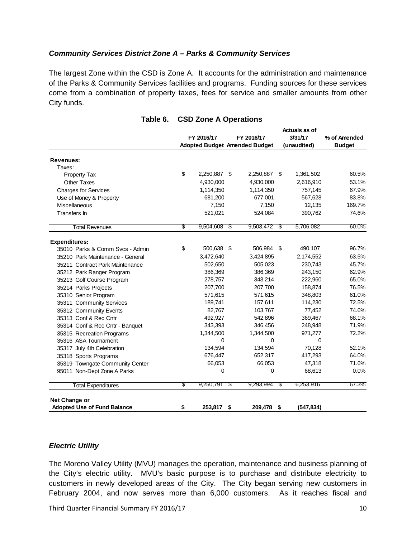#### *Community Services District Zone A – Parks & Community Services*

The largest Zone within the CSD is Zone A. It accounts for the administration and maintenance of the Parks & Community Services facilities and programs. Funding sources for these services come from a combination of property taxes, fees for service and smaller amounts from other City funds.

|                                    |    |              |            |                                      |    | Actuals as of |               |
|------------------------------------|----|--------------|------------|--------------------------------------|----|---------------|---------------|
|                                    |    | FY 2016/17   | FY 2016/17 |                                      |    | 3/31/17       | % of Amended  |
|                                    |    |              |            | <b>Adopted Budget Amended Budget</b> |    | (unaudited)   | <b>Budget</b> |
| Revenues:                          |    |              |            |                                      |    |               |               |
| Taxes:                             |    |              |            |                                      |    |               |               |
| <b>Property Tax</b>                | \$ | 2,250,887 \$ |            | 2,250,887 \$                         |    | 1,361,502     | 60.5%         |
| <b>Other Taxes</b>                 |    | 4,930,000    |            | 4,930,000                            |    | 2,616,910     | 53.1%         |
| <b>Charges for Services</b>        |    | 1,114,350    |            | 1,114,350                            |    | 757,145       | 67.9%         |
| Use of Money & Property            |    | 681,200      |            | 677,001                              |    | 567,628       | 83.8%         |
| Miscellaneous                      |    | 7,150        |            | 7,150                                |    | 12,135        | 169.7%        |
| Transfers In                       |    | 521,021      |            | 524,084                              |    | 390,762       | 74.6%         |
| <b>Total Revenues</b>              | \$ | 9,504,608    | -\$        | 9,503,472                            | S  | 5,706,082     | 60.0%         |
| <b>Expenditures:</b>               |    |              |            |                                      |    |               |               |
| 35010 Parks & Comm Svcs - Admin    | \$ | 500,638 \$   |            | 506,984 \$                           |    | 490,107       | 96.7%         |
| 35210 Park Maintenance - General   |    | 3,472,640    |            | 3,424,895                            |    | 2,174,552     | 63.5%         |
| 35211 Contract Park Maintenance    |    | 502,650      |            | 505,023                              |    | 230,743       | 45.7%         |
| 35212 Park Ranger Program          |    | 386,369      |            | 386,369                              |    | 243,150       | 62.9%         |
| 35213 Golf Course Program          |    | 278,757      |            | 343,214                              |    | 222,960       | 65.0%         |
| 35214 Parks Projects               |    | 207,700      |            | 207,700                              |    | 158,874       | 76.5%         |
| 35310 Senior Program               |    | 571,615      |            | 571,615                              |    | 348,803       | 61.0%         |
| 35311 Community Services           |    | 189,741      |            | 157,611                              |    | 114,230       | 72.5%         |
| 35312 Community Events             |    | 82,767       |            | 103,767                              |    | 77,452        | 74.6%         |
| 35313 Conf & Rec Cntr              |    | 492,927      |            | 542,896                              |    | 369,467       | 68.1%         |
| 35314 Conf & Rec Cntr - Banquet    |    | 343,393      |            | 346,456                              |    | 248,948       | 71.9%         |
| 35315 Recreation Programs          |    | 1,344,500    |            | 1,344,500                            |    | 971,277       | 72.2%         |
| 35316 ASA Tournament               |    | 0            |            | 0                                    |    | 0             |               |
| 35317 July 4th Celebration         |    | 134,594      |            | 134,594                              |    | 70,128        | 52.1%         |
| 35318 Sports Programs              |    | 676,447      |            | 652,317                              |    | 417,293       | 64.0%         |
| 35319 Towngate Community Center    |    | 66,053       |            | 66,053                               |    | 47,318        | 71.6%         |
| 95011 Non-Dept Zone A Parks        |    | 0            |            | 0                                    |    | 68,613        | 0.0%          |
| <b>Total Expenditures</b>          | \$ | 9,250,791    | -\$        | 9,293,994                            | \$ | 6,253,916     | 67.3%         |
| Net Change or                      |    |              |            |                                      |    |               |               |
| <b>Adopted Use of Fund Balance</b> | \$ | 253,817      | \$         | 209,478                              | \$ | (547, 834)    |               |

#### **Table 6. CSD Zone A Operations**

#### *Electric Utility*

The Moreno Valley Utility (MVU) manages the operation, maintenance and business planning of the City's electric utility. MVU's basic purpose is to purchase and distribute electricity to customers in newly developed areas of the City. The City began serving new customers in February 2004, and now serves more than 6,000 customers. As it reaches fiscal and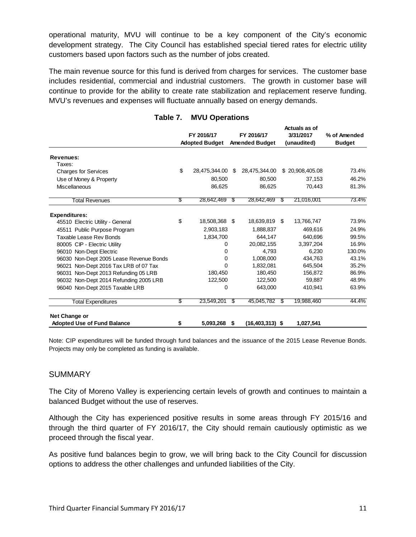operational maturity, MVU will continue to be a key component of the City's economic development strategy. The City Council has established special tiered rates for electric utility customers based upon factors such as the number of jobs created.

The main revenue source for this fund is derived from charges for services. The customer base includes residential, commercial and industrial customers. The growth in customer base will continue to provide for the ability to create rate stabilization and replacement reserve funding. MVU's revenues and expenses will fluctuate annually based on energy demands.

|                                         |            |                       |                       |                     |           | Actuals as of   |               |  |
|-----------------------------------------|------------|-----------------------|-----------------------|---------------------|-----------|-----------------|---------------|--|
|                                         | FY 2016/17 |                       |                       | FY 2016/17          | 3/31/2017 |                 | % of Amended  |  |
|                                         |            | <b>Adopted Budget</b> | <b>Amended Budget</b> |                     |           | (unaudited)     | <b>Budget</b> |  |
| Revenues:                               |            |                       |                       |                     |           |                 |               |  |
| Taxes:                                  |            |                       |                       |                     |           |                 |               |  |
| <b>Charges for Services</b>             | \$         | 28,475,344.00         | - \$                  | 28,475,344.00       |           | \$20,908,405.08 | 73.4%         |  |
| Use of Money & Property                 |            | 80,500                |                       | 80,500              |           | 37,153          | 46.2%         |  |
| Miscellaneous                           |            | 86,625                |                       | 86,625              |           | 70,443          | 81.3%         |  |
| <b>Total Revenues</b>                   | \$         | 28,642,469            | S                     | 28,642,469          | S         | 21,016,001      | 73.4%         |  |
| <b>Expenditures:</b>                    |            |                       |                       |                     |           |                 |               |  |
| 45510 Electric Utility - General        | \$         | 18,508,368 \$         |                       | 18,639,819 \$       |           | 13,766,747      | 73.9%         |  |
| 45511 Public Purpose Program            |            | 2,903,183             |                       | 1,888,837           |           | 469,616         | 24.9%         |  |
| Taxable Lease Rev Bonds                 |            | 1,834,700             |                       | 644,147             |           | 640,696         | 99.5%         |  |
| 80005 CIP - Electric Utility            |            | 0                     |                       | 20,082,155          |           | 3.397.204       | 16.9%         |  |
| 96010 Non-Dept Electric                 |            | 0                     |                       | 4.793               |           | 6.230           | 130.0%        |  |
| 96030 Non-Dept 2005 Lease Revenue Bonds |            | 0                     |                       | 1,008,000           |           | 434,763         | 43.1%         |  |
| 96021 Non-Dept 2016 Tax LRB of 07 Tax   |            | 0                     |                       | 1,832,081           |           | 645,504         | 35.2%         |  |
| 96031 Non-Dept 2013 Refunding 05 LRB    |            | 180,450               |                       | 180,450             |           | 156,872         | 86.9%         |  |
| 96032 Non-Dept 2014 Refunding 2005 LRB  |            | 122,500               |                       | 122,500             |           | 59,887          | 48.9%         |  |
| 96040 Non-Dept 2015 Taxable LRB         |            | 0                     |                       | 643,000             |           | 410,941         | 63.9%         |  |
| <b>Total Expenditures</b>               | \$         | 23,549,201            | S                     | 45,045,782          | S         | 19,988,460      | 44.4%         |  |
| Net Change or                           |            |                       |                       |                     |           |                 |               |  |
| <b>Adopted Use of Fund Balance</b>      | \$         | 5,093,268             | \$                    | $(16, 403, 313)$ \$ |           | 1,027,541       |               |  |

## **Table 7. MVU Operations**

Note: CIP expenditures will be funded through fund balances and the issuance of the 2015 Lease Revenue Bonds. Projects may only be completed as funding is available.

#### **SUMMARY**

The City of Moreno Valley is experiencing certain levels of growth and continues to maintain a balanced Budget without the use of reserves.

Although the City has experienced positive results in some areas through FY 2015/16 and through the third quarter of FY 2016/17, the City should remain cautiously optimistic as we proceed through the fiscal year.

As positive fund balances begin to grow, we will bring back to the City Council for discussion options to address the other challenges and unfunded liabilities of the City.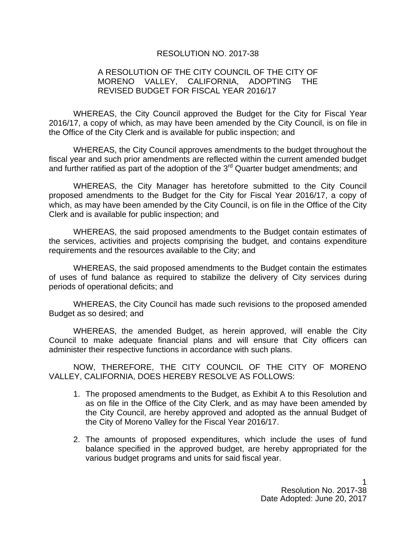## RESOLUTION NO. 2017-38

## A RESOLUTION OF THE CITY COUNCIL OF THE CITY OF MORENO VALLEY, CALIFORNIA, ADOPTING THE REVISED BUDGET FOR FISCAL YEAR 2016/17

WHEREAS, the City Council approved the Budget for the City for Fiscal Year 2016/17, a copy of which, as may have been amended by the City Council, is on file in the Office of the City Clerk and is available for public inspection; and

WHEREAS, the City Council approves amendments to the budget throughout the fiscal year and such prior amendments are reflected within the current amended budget and further ratified as part of the adoption of the 3<sup>rd</sup> Quarter budget amendments; and

WHEREAS, the City Manager has heretofore submitted to the City Council proposed amendments to the Budget for the City for Fiscal Year 2016/17, a copy of which, as may have been amended by the City Council, is on file in the Office of the City Clerk and is available for public inspection; and

WHEREAS, the said proposed amendments to the Budget contain estimates of the services, activities and projects comprising the budget, and contains expenditure requirements and the resources available to the City; and

WHEREAS, the said proposed amendments to the Budget contain the estimates of uses of fund balance as required to stabilize the delivery of City services during periods of operational deficits; and

WHEREAS, the City Council has made such revisions to the proposed amended Budget as so desired; and

WHEREAS, the amended Budget, as herein approved, will enable the City Council to make adequate financial plans and will ensure that City officers can administer their respective functions in accordance with such plans.

NOW, THEREFORE, THE CITY COUNCIL OF THE CITY OF MORENO VALLEY, CALIFORNIA, DOES HEREBY RESOLVE AS FOLLOWS:

- 1. The proposed amendments to the Budget, as Exhibit A to this Resolution and as on file in the Office of the City Clerk, and as may have been amended by the City Council, are hereby approved and adopted as the annual Budget of the City of Moreno Valley for the Fiscal Year 2016/17.
- 2. The amounts of proposed expenditures, which include the uses of fund balance specified in the approved budget, are hereby appropriated for the various budget programs and units for said fiscal year.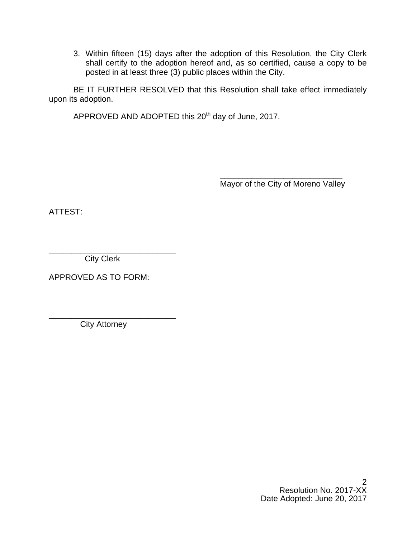3. Within fifteen (15) days after the adoption of this Resolution, the City Clerk shall certify to the adoption hereof and, as so certified, cause a copy to be posted in at least three (3) public places within the City.

BE IT FURTHER RESOLVED that this Resolution shall take effect immediately upon its adoption.

APPROVED AND ADOPTED this 20<sup>th</sup> day of June, 2017.

 $\overline{\phantom{a}}$  , and the contract of the contract of the contract of the contract of the contract of the contract of the contract of the contract of the contract of the contract of the contract of the contract of the contrac Mayor of the City of Moreno Valley

ATTEST:

\_\_\_\_\_\_\_\_\_\_\_\_\_\_\_\_\_\_\_\_\_\_\_\_\_\_\_\_ City Clerk

APPROVED AS TO FORM:

City Attorney

\_\_\_\_\_\_\_\_\_\_\_\_\_\_\_\_\_\_\_\_\_\_\_\_\_\_\_\_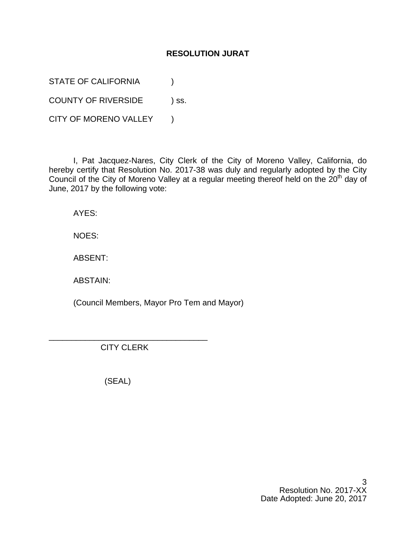## **RESOLUTION JURAT**

STATE OF CALIFORNIA  $\qquad \qquad$  )

COUNTY OF RIVERSIDE ) ss.

CITY OF MORENO VALLEY )

I, Pat Jacquez-Nares, City Clerk of the City of Moreno Valley, California, do hereby certify that Resolution No. 2017-38 was duly and regularly adopted by the City Council of the City of Moreno Valley at a regular meeting thereof held on the 20<sup>th</sup> day of June, 2017 by the following vote:

AYES:

NOES:

ABSENT:

ABSTAIN:

(Council Members, Mayor Pro Tem and Mayor)

CITY CLERK

\_\_\_\_\_\_\_\_\_\_\_\_\_\_\_\_\_\_\_\_\_\_\_\_\_\_\_\_\_\_\_\_\_\_\_

(SEAL)

3 Resolution No. 2017-XX Date Adopted: June 20, 2017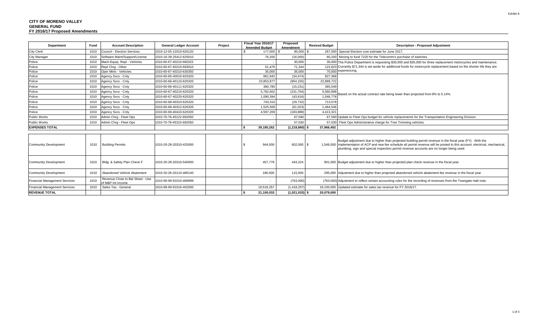| Department                           | Fund | <b>Account Description</b>                            | <b>General Ledger Account</b> | Project | Fiscal Year 2016/17<br><b>Amended Budget</b> | Proposed<br>Amendment | <b>Revised Budget</b> | <b>Description - Proposed Adjustment</b>                                                                                                                                                                                                                                                                                               |
|--------------------------------------|------|-------------------------------------------------------|-------------------------------|---------|----------------------------------------------|-----------------------|-----------------------|----------------------------------------------------------------------------------------------------------------------------------------------------------------------------------------------------------------------------------------------------------------------------------------------------------------------------------------|
| <b>City Clerk</b>                    | 1010 | Council - Election Services                           | 1010-12-05-12010-620120       |         | 177,000 \$                                   | $90,000$ \$           |                       | 267,000 Special Election cost estimate for June 2017.                                                                                                                                                                                                                                                                                  |
| <b>City Manager</b>                  | 1010 | Software Maint/Support/License                        | 1010-16-39-25412-625010       |         | 76,200                                       | (16,000)              |                       | 60,200 Moving to fund 7220 for the Telecomm's purchase of switches.                                                                                                                                                                                                                                                                    |
| Police                               | 1010 | Mach-Equip, Repl - Vehicles                           | 1010-60-67-40210-660322       |         |                                              | 30,000                |                       | 30,000 The Police Department is requesting \$30,000 and \$35,000 for three replacement motorcycles and maintenance.<br>122.823 Currently \$71,344 is set aside for additional funds for motorcycle replacement based on the shorter life they are<br>70,000 experiencing.                                                              |
| Police                               | 1010 | Repl Chrg - Other                                     | 1010-60-67-40210-693010       |         | 51.479                                       | 71,344                |                       |                                                                                                                                                                                                                                                                                                                                        |
| Police                               | 1010 | Oper Mtrls - Vehicles                                 | 1010-60-67-40210-630350       |         | 35,000                                       | 35,000                |                       |                                                                                                                                                                                                                                                                                                                                        |
| Police                               | 1010 | Agency Svcs - Cnty                                    | 1010-60-65-40010-620320       |         | 861,842                                      | (34, 474)             | 827,368               | Based on the actual contract rate being lower than projected from 8% to 5.14%.                                                                                                                                                                                                                                                         |
| Police                               | 1010 | Agency Svcs - Cnty                                    | 1010-60-66-40110-620320       |         | 23,853,877                                   | (954, 155             | 22,899,722            |                                                                                                                                                                                                                                                                                                                                        |
| Police                               | 1010 | Agency Svcs - Cnty                                    | 1010-60-66-40111-620320       |         | 380,780                                      | (15, 231)             | 365,549               |                                                                                                                                                                                                                                                                                                                                        |
| Police                               | 1010 | Agency Svcs - Cnty                                    | 1010-60-67-40210-620320       |         | 5,792,602                                    | (231, 704)            | 5,560,898             |                                                                                                                                                                                                                                                                                                                                        |
| Police                               | 1010 | Agency Svcs - Cnty                                    | 1010-60-67-40220-620320       |         | 1,090,394                                    | (43, 616)             | 1,046,778             |                                                                                                                                                                                                                                                                                                                                        |
| Police                               | 1010 | Agency Svcs - Cnty                                    | 1010-60-68-40310-620320       |         | 743,310                                      | (29, 732)             | 713,578               |                                                                                                                                                                                                                                                                                                                                        |
| Police                               | 1010 | Agency Svcs - Cnty                                    | 1010-60-68-40312-620320       |         | 1,525,569                                    | (61, 023)             | 1,464,546             |                                                                                                                                                                                                                                                                                                                                        |
| Police                               | 1010 | Agency Svcs - Cnty                                    | 1010-60-69-40410-620320       |         | 4,597,209                                    | (183,888              | 4,413,321             |                                                                                                                                                                                                                                                                                                                                        |
| <b>Public Works</b>                  | 1010 | Admin Chrg - Fleet Ops                                | 1010-70-76-45122-692050       |         |                                              | 67,590                |                       | 67,590 Update to Fleet Ops budget for vehicle replacements for the Transportation Engineering Division.                                                                                                                                                                                                                                |
| <b>Public Works</b>                  | 1010 | Admin Chrg - Fleet Ops                                | 1010-70-78-45315-692050       |         |                                              | 57,030                |                       | 57.030 Fleet Ops Administrative charge for Tree Trimming vehicles.                                                                                                                                                                                                                                                                     |
| <b>EXPENSES TOTAL</b>                |      |                                                       |                               |         | 39,185,262                                   | $(1,218,860)$ \$      | 37,966,402            |                                                                                                                                                                                                                                                                                                                                        |
|                                      |      |                                                       |                               |         |                                              |                       |                       |                                                                                                                                                                                                                                                                                                                                        |
| <b>Community Development</b>         | 1010 | <b>Building Permits</b>                               | 1010-20-28-20310-425000       |         | 944.000                                      | 602,000 \$            |                       | Budget adjustment due to higher than projected building permit revenue in the fiscal year (FY). With the<br>1,546,000 implementation of ACP and new fee schedule all permit revenue will be posted to this account; electrical, mechanical,<br>plumbing, sign and special inspection permit revenue accounts are no longer being used. |
| Community Development                | 1010 | Bldg. & Safety Plan Check F                           | 1010-20-28-20310-540000       |         | 457,776                                      | 443,224               |                       | 901,000 Budget adjustment due to higher than projected plan check revenue in the fiscal year.                                                                                                                                                                                                                                          |
| <b>Community Development</b>         | 1010 | Abandoned Vehicle Abatement                           | 1010-20-26-20110-480140       |         | 180,000                                      | 115,000               |                       | 295,000 Adjustment due to higher than projected abandoned vehicle abatement fee revenue in the fiscal year                                                                                                                                                                                                                             |
| <b>Financial Management Services</b> | 1010 | Revenue Close to Bal Sheet - Use<br>of M&P-Int Income | 1010-99-99-91010-469999       |         |                                              | (763,000)             |                       | (763,000) Adjustment to reflect certain accounting rules for the recording of revenues from the Towngate mall note.                                                                                                                                                                                                                    |
| <b>Financial Management Services</b> | 1010 | Sales Tax - General                                   | 1010-99-99-91010-402000       |         | 19,518,257                                   | (1,418,257)           |                       | 18,100,000 Updated estimate for sales tax revenue for FY 2016/17.                                                                                                                                                                                                                                                                      |
| <b>REVENUE TOTAL</b>                 |      |                                                       |                               |         | 21,100,033                                   | $(1,021,033)$ \$      | 20.079.000            |                                                                                                                                                                                                                                                                                                                                        |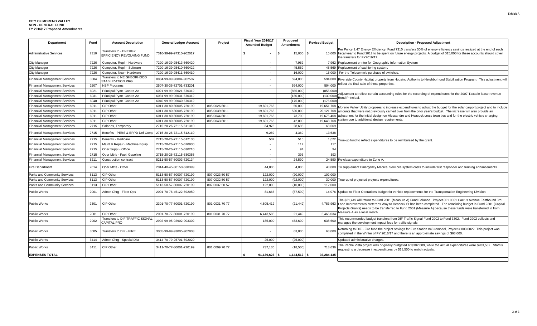| <b>Department</b>                    | Fund | <b>Account Description</b>                                | <b>General Ledger Account</b> | Project        | Fiscal Year 2016/17<br><b>Amended Budget</b> | Proposed<br>Amendment | <b>Revised Budget</b> | <b>Description - Proposed Adjustment</b>                                                                                                                                                                                                                                                                                                       |
|--------------------------------------|------|-----------------------------------------------------------|-------------------------------|----------------|----------------------------------------------|-----------------------|-----------------------|------------------------------------------------------------------------------------------------------------------------------------------------------------------------------------------------------------------------------------------------------------------------------------------------------------------------------------------------|
| <b>Administrative Services</b>       | 7310 | <b>Transfers to - ENERGY</b><br>EFFICIENCY REVOLVING FUND | 7310-99-99-97310-902017       |                |                                              | 15,000 \$<br>. ድ      |                       | Per Policy 2.47 Energy Efficiency, Fund 7310 transfers 50% of energy efficiency savings realized at the end of each<br>15,000 fiscal year to Fund 2017 to be spent on future energy projects. A budget of \$15,000 for these accounts should cover<br>the transfers for FY2016/17.                                                             |
| City Manager                         | 7220 | Computer, Repl - Hardware                                 | 7220-16-39-25413-660420       |                | $\sim$                                       | 7,962                 |                       | 7,962 Replacement printer for Geographic Information System                                                                                                                                                                                                                                                                                    |
| <b>City Manager</b>                  | 7220 | Computer, Repl - Software                                 | 7220-16-39-25410-660422       |                |                                              | 45,569                | 45,569                | Replacement of cashiering system.                                                                                                                                                                                                                                                                                                              |
| <b>City Manager</b>                  | 7220 | Computer, New - Hardware                                  | 7220-16-39-25411-660410       |                | $\sim$                                       | 16,000                | 16,000                | For the Telecomm's purchase of switches.                                                                                                                                                                                                                                                                                                       |
| <b>Financial Management Services</b> | 8884 | Transfers to NEIGHBORHOOD<br><b>STABILIZATION PRG</b>     | 8884-99-99-98884-902507       |                |                                              | 594,000               | 594,000               | Riverside County Habitat property from Housing Authority to Neighborhood Stabilization Program. This adjustment wil                                                                                                                                                                                                                            |
| <b>Financial Management Services</b> | 2507 | <b>NSP Programs</b>                                       | 2507-30-36-72701-733201       |                |                                              | 594,000               | 594.000               | eflect the final sale of these properties.                                                                                                                                                                                                                                                                                                     |
| <b>Financial Management Services</b> | 6021 | Principal Pymt- Contra Ac                                 | 6021-99-99-96021-670312       |                | $\sim$                                       | (855,000)             | (855.000)             | Adjustment to reflect certain accounting rules for the recording of expenditures for the 2007 Taxable lease revenue<br><b>Bond Principal</b>                                                                                                                                                                                                   |
| <b>Financial Management Services</b> | 6031 | Principal Pymt- Contra Ac                                 | 6031-99-99-96031-670312       |                | $\sim$                                       | (130,000)             | (130,000)             |                                                                                                                                                                                                                                                                                                                                                |
| <b>Financial Management Services</b> | 6040 | Principal Pymt- Contra Ac                                 | 6040-99-99-96040-670312       |                | $\sim$                                       | (175,000              | (175,000)             |                                                                                                                                                                                                                                                                                                                                                |
| <b>Financial Management Services</b> | 6011 | CIP Other                                                 | 6011-30-80-80005-720199       | 805 0026 6011  | 19,601,768                                   | 50,000                | 19,651,768            | Moreno Valley Utility proposes to increase expenditures to adjust the budget for the solar carport project and to include                                                                                                                                                                                                                      |
| <b>Financial Management Services</b> | 6011 | CIP Other                                                 | 6011-30-80-80005-720199       | 805 0039 6011  | 19.601.768                                   | 520.000               | 20,121,768            | amounts that were not previously carried over from the prior year's budget. The increase will also provide an                                                                                                                                                                                                                                  |
| <b>Financial Management Services</b> | 6011 | CIP Other                                                 | 6011-30-80-80005-720199       | 805 0044 6011  | 19,601,768                                   | 73.700                | 19.675.468            | adjustment for the initial design on Alessandro and Heacock cross town ties and for the electric vehicle charging                                                                                                                                                                                                                              |
| <b>Financial Management Services</b> | 6011 | CIP Other                                                 | 6011-30-80-80005-720199       | 805 0043 6011  | 19,601,768                                   | 42,000                | 19.643.768            | station due to additional design requirements.                                                                                                                                                                                                                                                                                                 |
| <b>Financial Management Services</b> | 2715 | Salaries, Temporary                                       | 2715-20-26-72115-611310       |                | 34.976                                       | 28.693                | 63.669                |                                                                                                                                                                                                                                                                                                                                                |
| <b>Financial Management Services</b> | 2715 | Benefits - PERS & ERPD Def Comp   2715-20-26-72115-612110 |                               |                | 9,269                                        | 4,369                 | 13,638                |                                                                                                                                                                                                                                                                                                                                                |
| <b>Financial Management Services</b> | 2715 | Benefits - Medicare                                       | 2715-20-26-72115-612130       |                | 507                                          | 515                   | 1,022                 | rue-up fund to reflect expenditures to be reimbursed by the grant.                                                                                                                                                                                                                                                                             |
| <b>Financial Management Services</b> | 2715 | Maint & Repair - Machine Equip                            | 2715-20-26-72115-620930       |                | $\sim$                                       | 117                   | 117                   |                                                                                                                                                                                                                                                                                                                                                |
| <b>Financial Management Services</b> | 2715 | Oper Suppl - Office                                       | 2715-20-26-72115-630210       |                | $\sim$                                       | 94                    | 94                    |                                                                                                                                                                                                                                                                                                                                                |
| <b>Financial Management Services</b> | 2715 | Oper Mtrls - Fuel: Gasoline                               | 2715-20-26-72115-630355       |                | $\sim$                                       | 393                   | 393                   |                                                                                                                                                                                                                                                                                                                                                |
| <b>Financial Management Services</b> | 5211 | Construction contract                                     | 5211-50-57-80003-720134       |                | $\sim$                                       | 24,590                |                       | 24,590 Re-class expenditure to Zone A                                                                                                                                                                                                                                                                                                          |
| <b>Fire Department</b>               | 2014 | Oper Mtrls - Other                                        | 2014-40-45-30150-630399       |                | 44,000                                       | 4,000                 | 48.000                | To supplement Emergency Medical Services system costs to include first responder and training enhancements.                                                                                                                                                                                                                                    |
| Parks and Community Services         | 5113 | CIP Other                                                 | 5113-50-57-80007-720199       | 807 0023 50 57 | 122,000                                      | (20,000)              | 102.000               |                                                                                                                                                                                                                                                                                                                                                |
| Parks and Community Services         | 5113 | CIP Other                                                 | 5113-50-57-80007-720199       | 807 0032 50 57 | 122,000                                      | (92,000)              | 30,000                | True-up of projected projects expenditures.                                                                                                                                                                                                                                                                                                    |
| Parks and Community Services         | 5113 | CIP Other                                                 | 5113-50-57-80007-720199       | 807 0037 50 57 | 122,000                                      | (10,000)              | 112.000               |                                                                                                                                                                                                                                                                                                                                                |
| <b>Public Works</b>                  | 2001 | Admin Chrg - Fleet Ops                                    | 2001-70-76-45122-692050       |                | 81.666                                       | (67, 590)             | 14.076                | Update to Fleet Operations budget for vehicle replacements for the Transportation Engineering Division.                                                                                                                                                                                                                                        |
| <b>Public Works</b>                  | 2301 | CIP Other                                                 | 2301-70-77-80001-720199       | 801 0031 70 77 | 4,805,412                                    | (21, 449)             | 4,783,963             | The \$21,449 will return to Fund 2001 (Measure A) Fund Balance. Project 801 0031 Cactus Avenue Eastbound 3rd<br>Lane Improvements/ Veterans Way to Heacock St has been completed. The remaining budget in Fund 2301 (Capital<br>Projects Grants) needs to be transferred to Fund 2001 (Measure A) because these funds were transferred in from |
| <b>Public Works</b>                  | 2001 | CIP Other                                                 | 2001-70-77-80001-720199       | 801 0031 70 77 | 6,443,585                                    | 21,449                | 6,465,034             | Measure A as a local match.                                                                                                                                                                                                                                                                                                                    |
| <b>Public Works</b>                  | 2902 | <b>Transfers to DIF TRAFFIC SIGNAL</b><br>CAPITAL PRO     | 2902-99-95-92902-903302       |                | 185,000                                      | 453,600               | 638,600               | This recommended budget transfers from DIF Traffic Signal Fund 2902 to Fund 3302. Fund 2902 collects and<br>manages the development impact fees for traffic signals.                                                                                                                                                                           |
| Public Works                         | 3005 | Transfers to DIF - FIRE                                   | 3005-99-99-93005-902903       |                |                                              | 63,000                | 63,000                | Returning to DIF - Fire fund the project savings for Fire Station #48 remodel, Project #803 0022. This project was<br>completed in the Winter of FY 2016/17 and there is an approximate savings of \$63.000.                                                                                                                                   |
| <b>Public Works</b>                  | 3414 | Admin Chrg - Special Dist                                 | 3414-70-79-25701-692020       |                | 25,000                                       | (25,000)              | $\sim$                | Updated administrative charges                                                                                                                                                                                                                                                                                                                 |
| Public Works                         | 3411 | CIP Other                                                 | 3411-70-77-80001-720199       | 801 0009 70 77 | 737,136                                      | (18,500)              | 718,636               | The Reche Vista project was originally budgeted at \$302,089, while the actual expenditures were \$283,589. Staff is<br>requesting a decrease in expenditures by \$18,500 to match actuals.                                                                                                                                                    |
| <b>EXPENSES TOTAL</b>                |      |                                                           |                               |                | 91,139,623                                   | $1,144,512$ \$        | 92.284.135            |                                                                                                                                                                                                                                                                                                                                                |
|                                      |      |                                                           |                               |                |                                              |                       |                       |                                                                                                                                                                                                                                                                                                                                                |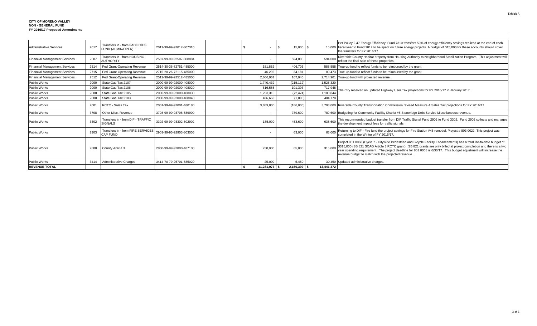| Administrative Services              | Transfers in - from FACILITIES<br>2017<br>FUND (ADMIN/OPER)                          | 2017-99-99-92017-807310 |               | 15,000 \$        |            | Per Policy 2.47 Energy Efficiency, Fund 7310 transfers 50% of energy efficiency savings realized at the end of each<br>15,000 fiscal year to Fund 2017 to be spent on future energy projects. A budget of \$15,000 for these accounts should cover<br>the transfers for FY 2016/17.                                                                                                                                       |
|--------------------------------------|--------------------------------------------------------------------------------------|-------------------------|---------------|------------------|------------|---------------------------------------------------------------------------------------------------------------------------------------------------------------------------------------------------------------------------------------------------------------------------------------------------------------------------------------------------------------------------------------------------------------------------|
| <b>Financial Management Services</b> | Transfers in - from HOUSING<br>2507<br><b>AUTHORITY</b>                              | 2507-99-99-92507-808884 |               | 594,000          | 594,000    | Riverside County Habitat property from Housing Authority to Neighborhood Stabilization Program. This adjustment will<br>reflect the final sale of these properties.                                                                                                                                                                                                                                                       |
| <b>Financial Management Services</b> | Fed Grant-Operating Revenue<br>2514                                                  | 2514-30-36-72751-485000 | 181,852       | 406,706          |            | 588,558 True-up fund to reflect funds to be reimbursed by the grant                                                                                                                                                                                                                                                                                                                                                       |
| <b>Financial Management Services</b> | 2715<br>Fed Grant-Operating Revenue                                                  | 2715-20-26-72115-485000 | 46.292        | 34.181           |            | 80,473 True-up fund to reflect funds to be reimbursed by the grant                                                                                                                                                                                                                                                                                                                                                        |
| Financial Management Services        | Fed Grant-Operating Revenue<br>2512                                                  | 2512-99-99-92512-485000 | 2,606,961     | 107,940          | 2,714,901  | True-up fund with projected revenue.                                                                                                                                                                                                                                                                                                                                                                                      |
| <b>Public Works</b>                  | State Gas Tax 2107<br>2000                                                           | 2000-99-99-92000-408000 | 1.740.432     | (215, 112)       | 1,525,320  |                                                                                                                                                                                                                                                                                                                                                                                                                           |
| <b>Public Works</b>                  | State Gas Tax 2106<br>2000                                                           | 2000-99-99-92000-408020 | 616,555       | 101.393          | 717.948    | The City received an updated Highway User Tax projections for FY 2016/17 in January 2017.                                                                                                                                                                                                                                                                                                                                 |
| <b>Public Works</b>                  | State Gas Tax 2105<br>2000                                                           | 2000-99-99-92000-408030 | 1.253.318     | (72.474)         | 1.180.844  |                                                                                                                                                                                                                                                                                                                                                                                                                           |
| Public Works                         | State Gas Tax 2103<br>2000                                                           | 2000-99-99-92000-408040 | 486,663       | (1,885)          | 484.778    |                                                                                                                                                                                                                                                                                                                                                                                                                           |
| <b>Public Works</b>                  | RCTC - Sales Tax<br>2001                                                             | 2001-99-99-92001-480180 | 3,889,000     | (186,000)        |            | 3,703,000 Riverside County Transportation Commission revised Measure A Sales Tax projections for FY 2016/17.                                                                                                                                                                                                                                                                                                              |
| <b>Public Works</b>                  | Other Misc. Revenue<br>3708                                                          | 3708-99-90-93708-589900 |               | 789,600          |            | 789,600 Budgeting for Community Facility District #5 Stoneridge Debt Service Miscellaneous revenue.                                                                                                                                                                                                                                                                                                                       |
| <b>Public Works</b>                  | Transfers in - from DIF - TRAFFIC<br>3302<br><b>SIGNALS</b>                          | 3302-99-99-93302-802902 | 185,000       | 453,600          | 638,600    | This recommended budget transfer from DIF Traffic Signal Fund 2902 to Fund 3302. Fund 2902 collects and manages<br>the development impact fees for traffic signals.                                                                                                                                                                                                                                                       |
| <b>Public Works</b>                  | Transfers in - from FIRE SERVICES 2903-99-95-92903-803005<br>2903<br><b>CAP FUND</b> |                         |               | 63,000           | 63.000     | Returning to DIF - Fire fund the project savings for Fire Station #48 remodel, Project # 803 0022. This project was<br>completed in the Winter of FY 2016/17.                                                                                                                                                                                                                                                             |
| <b>Public Works</b>                  | 2800<br>County Article 3                                                             | 2800-99-99-92800-487100 | 250,000       | 65,000           | 315.000    | Project 801 0068 (Cycle 7 - Citywide Pedestrian and Bicycle Facility Enhancements) has a total life-to-date budget of<br>\$315,000 (SB 821 SCAG Article 3 RCTC grant). SB 821 grants are only billed at project completion and there is a two<br>year spending requirement. The project deadline for 801 0068 is 6/30/17. This budget adjustment will increase the<br>revenue budget to match with the projected revenue. |
| <b>Public Works</b>                  | <b>Administrative Charges</b><br>3414                                                | 3414-70-79-25701-585020 | 25,000        | 5,450            |            | 30,450 Updated administrative charges.                                                                                                                                                                                                                                                                                                                                                                                    |
| <b>REVENUE TOTAL</b>                 |                                                                                      |                         | 11.281.073 \$ | $2.160.399$ \ \$ | 13.441.472 |                                                                                                                                                                                                                                                                                                                                                                                                                           |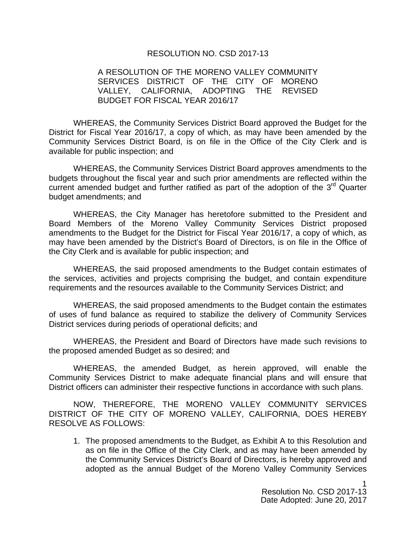## RESOLUTION NO. CSD 2017-13

## A RESOLUTION OF THE MORENO VALLEY COMMUNITY SERVICES DISTRICT OF THE CITY OF MORENO VALLEY, CALIFORNIA, ADOPTING THE REVISED BUDGET FOR FISCAL YEAR 2016/17

WHEREAS, the Community Services District Board approved the Budget for the District for Fiscal Year 2016/17, a copy of which, as may have been amended by the Community Services District Board, is on file in the Office of the City Clerk and is available for public inspection; and

WHEREAS, the Community Services District Board approves amendments to the budgets throughout the fiscal year and such prior amendments are reflected within the current amended budget and further ratified as part of the adoption of the  $3<sup>rd</sup>$  Quarter budget amendments; and

WHEREAS, the City Manager has heretofore submitted to the President and Board Members of the Moreno Valley Community Services District proposed amendments to the Budget for the District for Fiscal Year 2016/17, a copy of which, as may have been amended by the District's Board of Directors, is on file in the Office of the City Clerk and is available for public inspection; and

WHEREAS, the said proposed amendments to the Budget contain estimates of the services, activities and projects comprising the budget, and contain expenditure requirements and the resources available to the Community Services District; and

WHEREAS, the said proposed amendments to the Budget contain the estimates of uses of fund balance as required to stabilize the delivery of Community Services District services during periods of operational deficits; and

WHEREAS, the President and Board of Directors have made such revisions to the proposed amended Budget as so desired; and

WHEREAS, the amended Budget, as herein approved, will enable the Community Services District to make adequate financial plans and will ensure that District officers can administer their respective functions in accordance with such plans.

NOW, THEREFORE, THE MORENO VALLEY COMMUNITY SERVICES DISTRICT OF THE CITY OF MORENO VALLEY, CALIFORNIA, DOES HEREBY RESOLVE AS FOLLOWS:

1. The proposed amendments to the Budget, as Exhibit A to this Resolution and as on file in the Office of the City Clerk, and as may have been amended by the Community Services District's Board of Directors, is hereby approved and adopted as the annual Budget of the Moreno Valley Community Services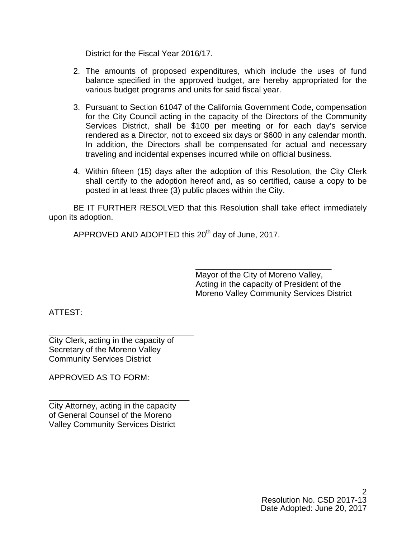District for the Fiscal Year 2016/17.

- 2. The amounts of proposed expenditures, which include the uses of fund balance specified in the approved budget, are hereby appropriated for the various budget programs and units for said fiscal year.
- 3. Pursuant to Section 61047 of the California Government Code, compensation for the City Council acting in the capacity of the Directors of the Community Services District, shall be \$100 per meeting or for each day's service rendered as a Director, not to exceed six days or \$600 in any calendar month. In addition, the Directors shall be compensated for actual and necessary traveling and incidental expenses incurred while on official business.
- 4. Within fifteen (15) days after the adoption of this Resolution, the City Clerk shall certify to the adoption hereof and, as so certified, cause a copy to be posted in at least three (3) public places within the City.

BE IT FURTHER RESOLVED that this Resolution shall take effect immediately upon its adoption.

APPROVED AND ADOPTED this 20<sup>th</sup> day of June, 2017.

 $\overline{\phantom{a}}$  , and the contract of the contract of the contract of the contract of the contract of the contract of the contract of the contract of the contract of the contract of the contract of the contract of the contrac Mayor of the City of Moreno Valley, Acting in the capacity of President of the Moreno Valley Community Services District

ATTEST:

City Clerk, acting in the capacity of Secretary of the Moreno Valley Community Services District

\_\_\_\_\_\_\_\_\_\_\_\_\_\_\_\_\_\_\_\_\_\_\_\_\_\_\_\_\_\_\_\_

APPROVED AS TO FORM:

City Attorney, acting in the capacity of General Counsel of the Moreno Valley Community Services District

\_\_\_\_\_\_\_\_\_\_\_\_\_\_\_\_\_\_\_\_\_\_\_\_\_\_\_\_\_\_\_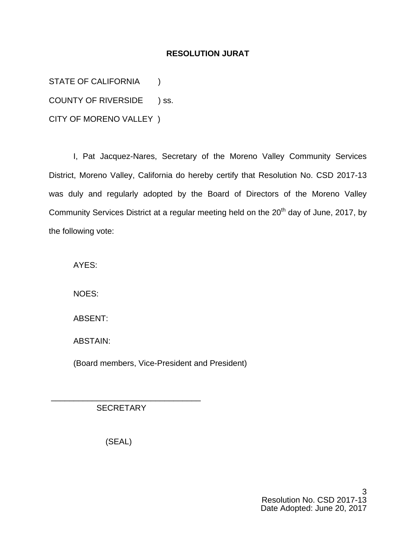## **RESOLUTION JURAT**

STATE OF CALIFORNIA (1)

COUNTY OF RIVERSIDE ) ss.

CITY OF MORENO VALLEY )

I, Pat Jacquez-Nares, Secretary of the Moreno Valley Community Services District, Moreno Valley, California do hereby certify that Resolution No. CSD 2017-13 was duly and regularly adopted by the Board of Directors of the Moreno Valley Community Services District at a regular meeting held on the 20<sup>th</sup> day of June, 2017, by the following vote:

AYES:

NOES:

ABSENT:

ABSTAIN:

(Board members, Vice-President and President)

**SECRETARY** 

\_\_\_\_\_\_\_\_\_\_\_\_\_\_\_\_\_\_\_\_\_\_\_\_\_\_\_\_\_\_\_\_\_

(SEAL)

3 Resolution No. CSD 2017-13 Date Adopted: June 20, 2017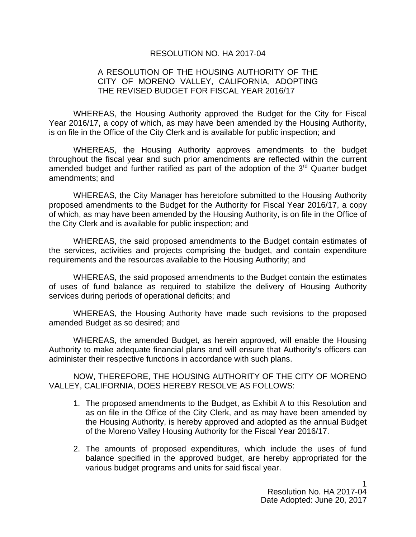#### RESOLUTION NO. HA 2017-04

## A RESOLUTION OF THE HOUSING AUTHORITY OF THE CITY OF MORENO VALLEY, CALIFORNIA, ADOPTING THE REVISED BUDGET FOR FISCAL YEAR 2016/17

WHEREAS, the Housing Authority approved the Budget for the City for Fiscal Year 2016/17, a copy of which, as may have been amended by the Housing Authority, is on file in the Office of the City Clerk and is available for public inspection; and

WHEREAS, the Housing Authority approves amendments to the budget throughout the fiscal year and such prior amendments are reflected within the current amended budget and further ratified as part of the adoption of the  $3<sup>rd</sup>$  Quarter budget amendments; and

WHEREAS, the City Manager has heretofore submitted to the Housing Authority proposed amendments to the Budget for the Authority for Fiscal Year 2016/17, a copy of which, as may have been amended by the Housing Authority, is on file in the Office of the City Clerk and is available for public inspection; and

WHEREAS, the said proposed amendments to the Budget contain estimates of the services, activities and projects comprising the budget, and contain expenditure requirements and the resources available to the Housing Authority; and

WHEREAS, the said proposed amendments to the Budget contain the estimates of uses of fund balance as required to stabilize the delivery of Housing Authority services during periods of operational deficits; and

WHEREAS, the Housing Authority have made such revisions to the proposed amended Budget as so desired; and

WHEREAS, the amended Budget, as herein approved, will enable the Housing Authority to make adequate financial plans and will ensure that Authority's officers can administer their respective functions in accordance with such plans.

NOW, THEREFORE, THE HOUSING AUTHORITY OF THE CITY OF MORENO VALLEY, CALIFORNIA, DOES HEREBY RESOLVE AS FOLLOWS:

- 1. The proposed amendments to the Budget, as Exhibit A to this Resolution and as on file in the Office of the City Clerk, and as may have been amended by the Housing Authority, is hereby approved and adopted as the annual Budget of the Moreno Valley Housing Authority for the Fiscal Year 2016/17.
- 2. The amounts of proposed expenditures, which include the uses of fund balance specified in the approved budget, are hereby appropriated for the various budget programs and units for said fiscal year.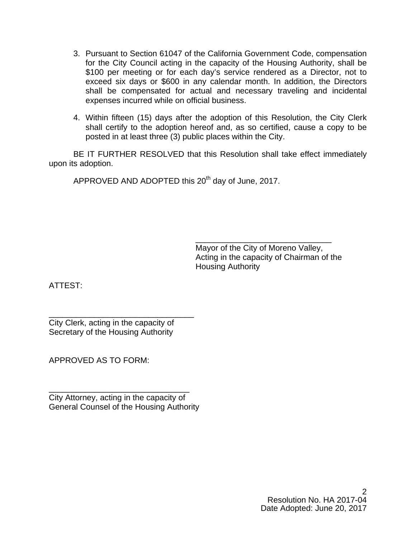- 3. Pursuant to Section 61047 of the California Government Code, compensation for the City Council acting in the capacity of the Housing Authority, shall be \$100 per meeting or for each day's service rendered as a Director, not to exceed six days or \$600 in any calendar month. In addition, the Directors shall be compensated for actual and necessary traveling and incidental expenses incurred while on official business.
- 4. Within fifteen (15) days after the adoption of this Resolution, the City Clerk shall certify to the adoption hereof and, as so certified, cause a copy to be posted in at least three (3) public places within the City.

BE IT FURTHER RESOLVED that this Resolution shall take effect immediately upon its adoption.

APPROVED AND ADOPTED this 20<sup>th</sup> day of June, 2017.

 $\frac{1}{\sqrt{2\pi}}$  ,  $\frac{1}{\sqrt{2\pi}}$  ,  $\frac{1}{\sqrt{2\pi}}$  ,  $\frac{1}{\sqrt{2\pi}}$  ,  $\frac{1}{\sqrt{2\pi}}$  ,  $\frac{1}{\sqrt{2\pi}}$  ,  $\frac{1}{\sqrt{2\pi}}$  ,  $\frac{1}{\sqrt{2\pi}}$  ,  $\frac{1}{\sqrt{2\pi}}$  ,  $\frac{1}{\sqrt{2\pi}}$  ,  $\frac{1}{\sqrt{2\pi}}$  ,  $\frac{1}{\sqrt{2\pi}}$  ,  $\frac{1}{\sqrt{2\pi}}$  , Mayor of the City of Moreno Valley, Acting in the capacity of Chairman of the Housing Authority

ATTEST:

\_\_\_\_\_\_\_\_\_\_\_\_\_\_\_\_\_\_\_\_\_\_\_\_\_\_\_\_\_\_\_\_ City Clerk, acting in the capacity of Secretary of the Housing Authority

APPROVED AS TO FORM:

City Attorney, acting in the capacity of General Counsel of the Housing Authority

\_\_\_\_\_\_\_\_\_\_\_\_\_\_\_\_\_\_\_\_\_\_\_\_\_\_\_\_\_\_\_